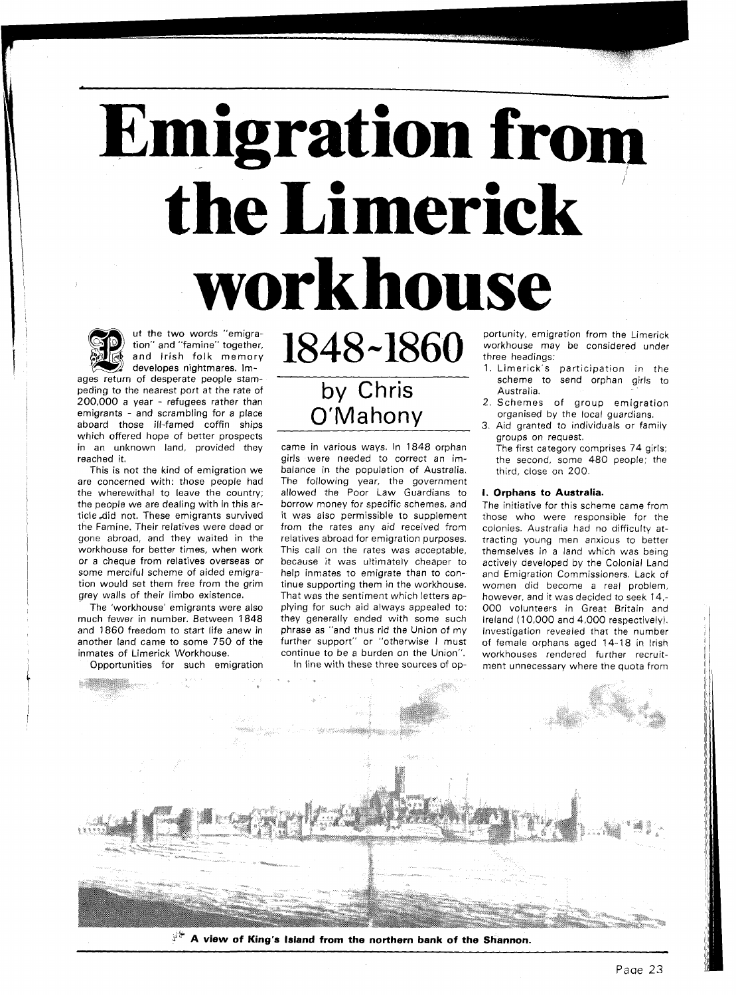# **Emigration from**  <sup>i</sup>**the Limerick workhouse**



ut the two words "emigration" and "famine" together, and lrish folk memory developes nightmares. Im-

ages return of desperate people stampeding to the nearest port at the rate of 200,000 a year - refugees rather than emigrants - and scrambling for a place aboard those ill-famed coffin ships which offered hope of better prospects in an unknown land, provided they reached it.

This is not the kind of emigration we are concerned with: those people had the wherewithal to leave the country; the people we are dealing with in this article Aid not. These emigrants survived the Famine. Their relatives were dead or gone abroad, and they waited in the workhouse for better times, when work or a cheque from relatives overseas or some merciful scheme of aided emigration would set them free from the grim grey walls of their limbo existence.

The 'workhouse' emigrants were also much fewer in number. Between 1848 and 1860 freedom to start life anew in another land came to some 750 of the inmates of Limerick Workhouse.

Opportunities for such emigration

# by Chris O'Mahony

1848~1860

came in various ways. In 1848 orphan girls were needed to correct an imbalance in the population of Australia. The following year, the government allowed the Poor Law Guardians to borrow money for specific schemes, and it was also permissible to supplement from the rates any aid received from relatives abroad for emigration purposes. This call on the rates was acceptable, because it was ultimately cheaper to help inmates to emigrate than to continue supporting them in the workhouse. That was the sentiment which letters applying for such aid always appealed to: they generally ended with some such phrase as "and thus rid the Union of my further support" or "otherwise I must continue to be a burden on the Union". In line with these three sources of opportunity, emigration from the Limerick workhouse may be considered under three headings:

- 1. Limerick's participation in the scheme to send orphan girls to Australia.
- 2. Schemes of group emigration organised by the local guardians.
- 3. Aid granted to individuals or family groups on request.
	- The first category comprises 74 girls; the second, some 480 people; the third, close on 200.

## **I. Orphans to Australia.**

The initiative for this scheme came from those who were responsible for the colonies. Australia had no difficulty attracting young men anxious to better themselves in a land which was being actively developed by the Colonial Land and Emigration Commissioners. Lack of women did become a real problem, however, and it was decided to seek 14,- 000 volunteers in Great Britain and Ireland (10.000 and 4,000 respectively). Investigation revealed that the number of female orphans aged 14-18 in lrish workhouses rendered further recruitment unnecessary where the quota from



*2"* **A view of King's Island from the northern bank of the Shannon.**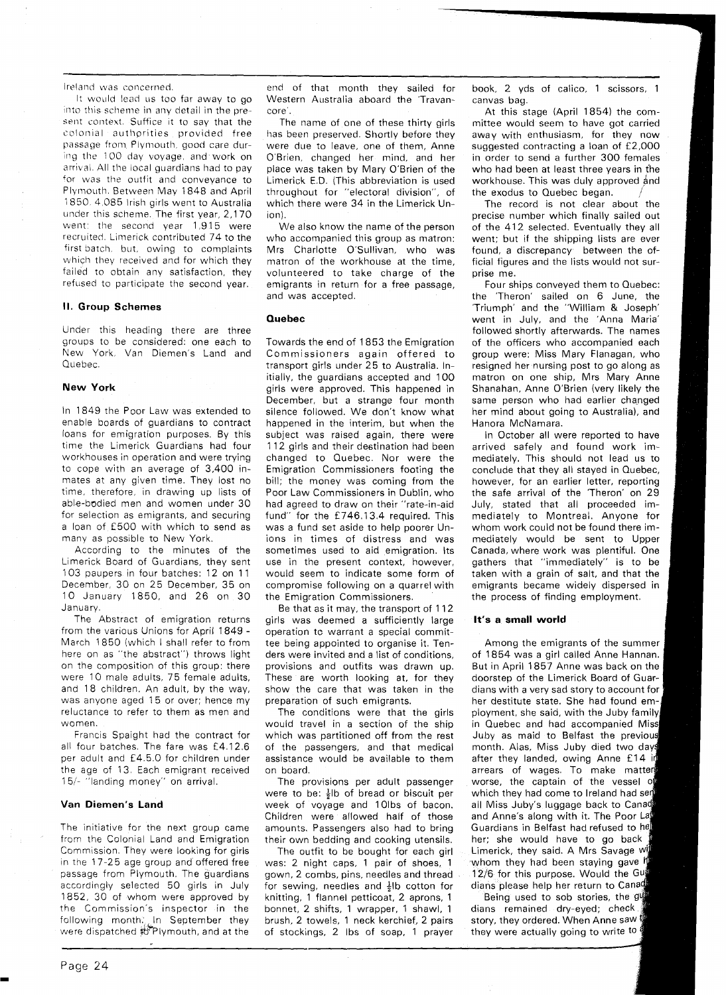Ireland was concerned.

It would lead us too far away to go into this scheme in any detail in the present context. Suffice it to say that the colonial authprities provided free passage from Plymouth. good care during the 100 day voyage, and work on arrival. All the local guardians had to pay for was the outfit and conveyance to Plymouth. Between May 1848 and April 1850. 4.085 Irish girls went to Australia under this scheme. The first year, 2,170 went: the second year 1,915 were recruited, Limerick contributed 74 to the first batch. but, owing to complaints which they received and for which they failed to obtain any satisfaction, they refused to participate the second year.

# **I!. Group Schemes**

Under this heading there are three groups to be considered: one each to New York, Van Diemen's Land and Quebec.

# **New York**

In 1849 the Poor Law was extended to enable boards of guardians to contract loans for emigration purposes. By this time the Limerick Guardians had four workhouses in operation and were trying to cope with an average of 3,400 inmates at any given time. They lost no time, therefore, in drawing up lists of able-bodied men and women under 30 for selection as emigrants, and securing a loan of £500 with which to send as many as possible to New York.

According to the minutes of the Limerick Board of Guardians, they sent 103 paupers in four batches: 12 on 11 December, 30 on 25 December, 35 on 10 January 1850, and 26 on 30 January.

The Abstract of emigration returns from the various Unions for April 1849 - March 1850 (which I shall refer to from here on as "the abstract") throws light on the composition of this group: there were 10 male adults, 75 female adults, and 18 children. An adult, by the way, was anyone aged 15 or over; hence my reluctance to refer to them as men and women.

Francis Spaight had the contract for all four batches. The fare was £4.1 2.6 per adult and £4.5.0 for children under the age of 13. Each emigrant received 15/- "landing money" on arrival.

# **Van Diemen's Land**

The initiative for the next group came from the Colonial Land and Emigration Commission. They were looking for girls in the 17-25 age group and offered free passage from Plymouth. The guardians accordingly selected 50 girls in July 1852, 30 of whom were approved by the Commission's inspector in the following month? In September they were dispatched to Plymouth, and at the

end of that month they sailed for Western Australia aboard the 'Travancore'.

The name of one of these thirty girls has been preserved. Shortly before they were due to leave, one of them, Anne O'Brien, changed her mind, and her place was taken by Mary O'Brien of the Limerick E.D. (This abbreviation is used throughout for "electoral division", of which there were 34 in the Limerick Union).

We also know the name of the person who accompanied this group as matron: Mrs Charlotte O'Sullivan, who was matron of the workhouse at the time, volunteered to take charge of the emigrants in return for a free passage, and was accepted.

# **Quebec**

Towards the end of 1853 the Emigration Commissioners again offered to transport girls under 25 to Australia. Initially, the guardians accepted and 100 girls were approved. This happened in December, but a strange four month silence followed. We don't know what happened in the interim, but when the subject was raised again, there were 112 girls and their destination had been changed to Quebec. Nor were the Emigration Commissioners footing the bill; the money was coming from the Poor Law Commissioners in Dublin, who had agreed to draw on their "rate-in-aid fund" for the f 746.13.4 required. This was a fund set aside to help poorer Unions in times of distress and was sometimes used to aid emigration. Its use in the present context, however, would seem to indicate some form of compromise following on a quarrel with the Emigration Commissioners.

Be that as it may, the transport of 112 girls was deemed a sufficiently large operation to warrant a special committee being appointed to organise it. Tenders were invited and a list of conditions, provisions and outfits was drawn up. These are worth looking at, for they show the care that was taken in the preparation of such emigrants.

The conditions were that the girls would travel in a section of the ship which was partitioned off from the rest of the passengers, and that medical assistance would be available to them on board.

The provisions per adult passenger were to be:  $\frac{1}{2}$ lb of bread or biscuit per week of voyage and 10lbs of bacon. Children were allowed half of those amounts. Passengers also had to bring their own bedding and cooking utensils.

The outfit to be bought for each girl was: 2 night caps, 1 pair of shoes, 1 gown, 2 combs, pins, needles and thread for sewing, needles and  $\frac{1}{2}$ lb cotton for knitting, 1 flannel petticoat, 2 aprons, 1 bonnet, 2 shifts, 1 wrapper, 1 shawl, 1 brush, 2 towels, 1 neck kerchief, 2 pairs of stockings, 2 Ibs of soap, 1 prayer

book, 2 yds of calico, 1 scissors, 1 canvas bag.

At this stage (April 1854) the committee would seem to have got carried away with enthusiasm, for they now suggested contracting a loan of £2,000 in order to send a further 300 females who had been at least three years in (he workhouse. This was duly approved and the exodus to Quebec began.

The record is not clear about the precise number which finally sailed out of the 412 selected. Eventually they all went; but if the shipping lists are ever found, a discrepancy between the official figures and the lists would not surprise me.

Four ships conveyed them to Quebec: the 'Theron' sailed on 6 June, the 'Triumph' and the "William & Joseph' went in July, and the 'Anna Maria' followed shortly afterwards. The names of the officers who accompanied each group were: Miss Mary Flanagan, who resigned her nursing post to go along as matron on one ship, Mrs Mary Anne Shanahan, Anne O'Brien (very likely the same person who had earlier changed her mind about going to Australia), and Hanora McNamara.

In October all were reported to have arrived safely and found work immediately. This should not lead us to conclude that they all stayed in Quebec, however, for an earlier letter, reporting the safe arrival of the 'Theron' on 29 July, stated that all proceeded immediately to Montreal. Anyone for whom work could not be found there immediately would be sent to Upper Canada, where work was plentiful. One gathers that "immediately" is to be taken with a grain of salt, and that the emigrants became widely dispersed in the process of finding employment.

## It's a small world

Among the emigrants of the summer of 1854 was a girl called Anne Hannan. But in April 1857 Anne was back on the doorstep of the Limerick Board of Guardians with a very sad story to account for her destitute state. She had found employment, she said, with the Juby family, in Quebec and had accompanied Miss Juby as maid to Belfast the previous month. Alas, Miss Juby died two days after they landed, owing Anne £14 in arrears of wages. To make matter worse, the captain of the vessel of which they had come to Ireland had sen all Miss Juby's luggage back to Canad and Anne's along with it. The Poor La Guardians in Belfast had refused to he her; she would have to go back Limerick, they said. A Mrs Savage w whom they had been staying gave h 12/6 for this purpose. Would the Gug dians please help her return to Canag

Being used to sob stories, the gu dians remained dry-eyed; check. story, they ordered. When Anne saw they were actually going to write to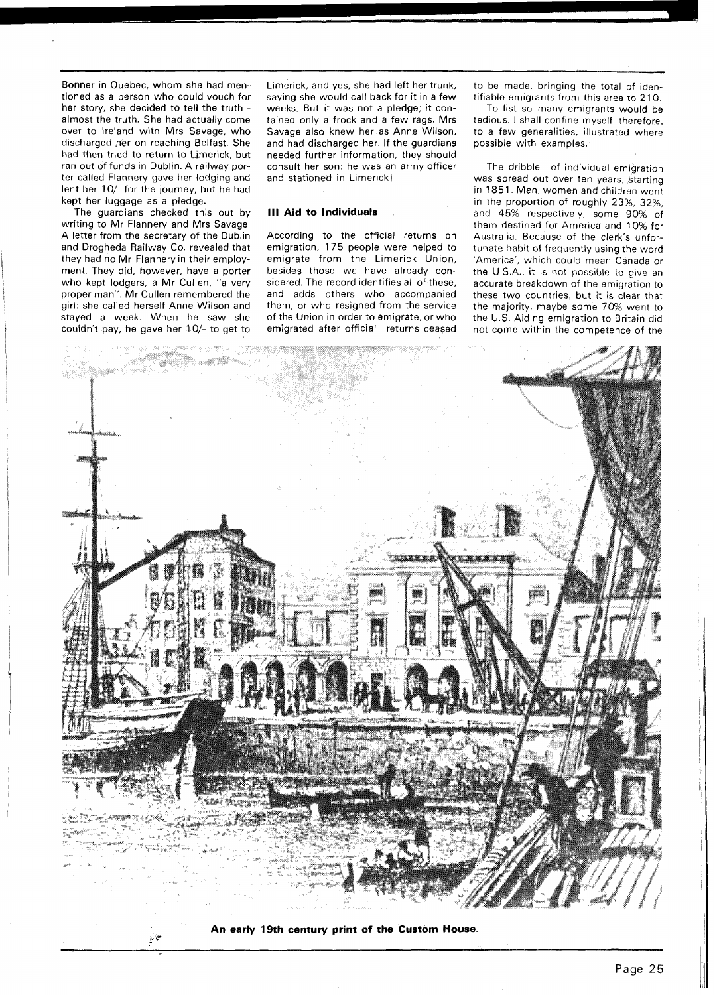Bonner in Quebec, whom she had mentioned as a person who could vouch for her story, she decided to tell the truth almost the truth. She had actually come over to Ireland with Mrs Savage, who discharged her on reaching Belfast. She had then tried to return to Limerick, but ran out of funds in Dublin. A railway porter called Flannery gave her lodging and lent her 10/- for the journey, but he had kept her luggage as a pledge.

The guardians checked this out by writing to Mr Flannery and Mrs Savage. A letter from the secretary of the Dublin and Drogheda Railway Co. revealed that they had no Mr Flannery in their employment. They did, however, have a porter who kept lodgers, a Mr Cullen, "a very proper man". Mr Cullen remembered the girl: she called herself Anne Wilson and stayed a week. When he saw she couldn't pay, he gave her 10/- to get to Limerick, and yes, she bad left her trunk, saying she would call back for it in a few weeks. But it was not a pledge; it contained only a frock and a few rags. Mrs Savage also knew her as Anne Wilson, and had discharged her. If the guardians needed further information, they should consult her son: he was an army officer and stationed in Limerick!

#### **Ill Aid to Individuals**

According to the official returns on emigration, 175 people were helped to emigrate from the Limerick Union, besides those we have already considered. The record identifies all of these, and adds others who accompanied them, or who resigned from the service of the Union in order to emigrate, or who emigrated after official returns ceased to be made, bringing the total of identifiable emigrants from this area to 2 10.

To list so many emigrants would be tedious. I shall confine myself, therefore, to a few generalities, illustrated where possible with examples.

The dribble of individual emigration was spread out over ten years, starting in 1851. Men, women and children went in the proportion of roughly 23%, 32%. and 45% respectively, some 90% of them destined for America and 10% for Australia. Because of the clerk's unfortunate habit of frequently using the word 'America', which could mean Canada or the U.S.A., it is not possible to give an accurate breakdown of the emigration to these two countries, but it is clear that the majority, maybe some 70% went to the U.S. Aiding emigration to Britain did not come within the competence of the



**An early 19th century print of the Custom House.**<br> **An early 19th century print of the Custom House.**